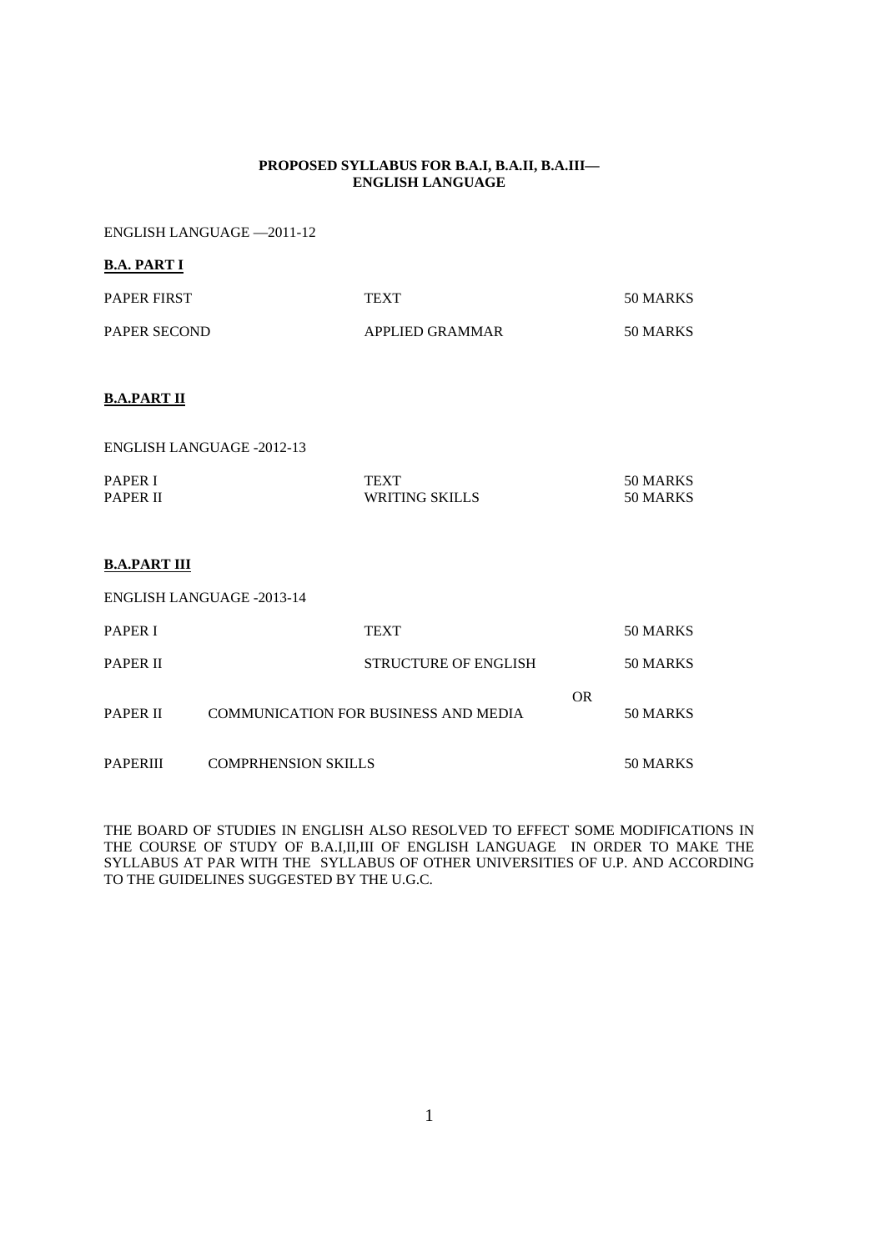#### **PROPOSED SYLLABUS FOR B.A.I, B.A.II, B.A.III— ENGLISH LANGUAGE**

ENGLISH LANGUAGE —2011-12

#### **B.A. PART I**

| <b>PAPER FIRST</b> | <b>TEXT</b>     | 50 MARKS |
|--------------------|-----------------|----------|
| PAPER SECOND       | APPLIED GRAMMAR | 50 MARKS |

### **B.A.PART II**

| ENGLISH LANGUAGE -2012-13 |                |          |
|---------------------------|----------------|----------|
| <b>PAPER I</b>            | <b>TEXT</b>    | 50 MARKS |
| <b>PAPER II</b>           | WRITING SKILLS | 50 MARKS |

### **B.A.PART III**

ENGLISH LANGUAGE -2013-14

| <b>PAPER I</b>  | <b>TEXT</b>                                 |           | 50 MARKS |
|-----------------|---------------------------------------------|-----------|----------|
| <b>PAPER II</b> | <b>STRUCTURE OF ENGLISH</b>                 |           | 50 MARKS |
| <b>PAPER II</b> | <b>COMMUNICATION FOR BUSINESS AND MEDIA</b> | <b>OR</b> | 50 MARKS |
| <b>PAPERIII</b> | <b>COMPRHENSION SKILLS</b>                  |           | 50 MARKS |

THE BOARD OF STUDIES IN ENGLISH ALSO RESOLVED TO EFFECT SOME MODIFICATIONS IN THE COURSE OF STUDY OF B.A.I,II,III OF ENGLISH LANGUAGE IN ORDER TO MAKE THE SYLLABUS AT PAR WITH THE SYLLABUS OF OTHER UNIVERSITIES OF U.P. AND ACCORDING TO THE GUIDELINES SUGGESTED BY THE U.G.C.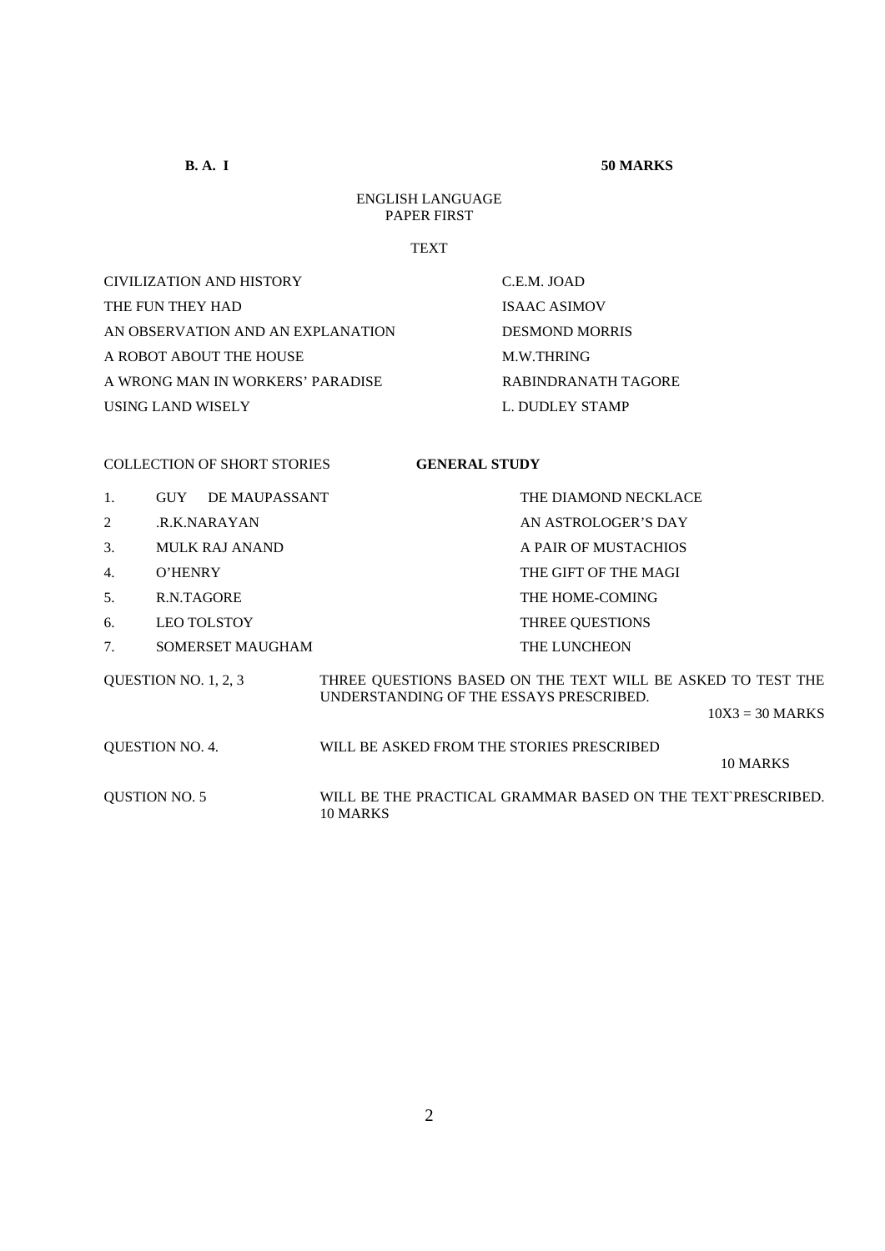**B. A. I** 50 MARKS

## ENGLISH LANGUAGE PAPER FIRST

#### **TEXT**

CIVILIZATION AND HISTORY C.E.M. JOAD THE FUN THEY HAD ISAAC ASIMOV AN OBSERVATION AND AN EXPLANATION DESMOND MORRIS A ROBOT ABOUT THE HOUSE M.W.THRING A WRONG MAN IN WORKERS' PARADISE RABINDRANATH TAGORE USING LAND WISELY L. DUDLEY STAMP

## COLLECTION OF SHORT STORIES **GENERAL STUDY**

- 1. GUY DE MAUPASSANT THE DIAMOND NECKLACE
- 
- 
- 
- 
- 6. LEO TOLSTOY THREE QUESTIONS
- 7. SOMERSET MAUGHAM THE LUNCHEON
- 2 .R.K.NARAYAN AN ASTROLOGER'S DAY 3. MULK RAJ ANAND A PAIR OF MUSTACHIOS 4. O'HENRY THE GIFT OF THE MAGI 5. R.N.TAGORE THE HOME-COMING

| <b>OUESTION NO. 1, 2, 3</b> | THREE QUESTIONS BASED ON THE TEXT WILL BE ASKED TO TEST THE<br>UNDERSTANDING OF THE ESSAYS PRESCRIBED. |                   |
|-----------------------------|--------------------------------------------------------------------------------------------------------|-------------------|
|                             |                                                                                                        | $10X3 = 30$ MARKS |
| <b>OUESTION NO. 4.</b>      | WILL BE ASKED FROM THE STORIES PRESCRIBED                                                              | 10 MARKS          |
| <b>OUSTION NO. 5</b>        | WILL BE THE PRACTICAL GRAMMAR BASED ON THE TEXT PRESCRIBED.                                            |                   |

10 MARKS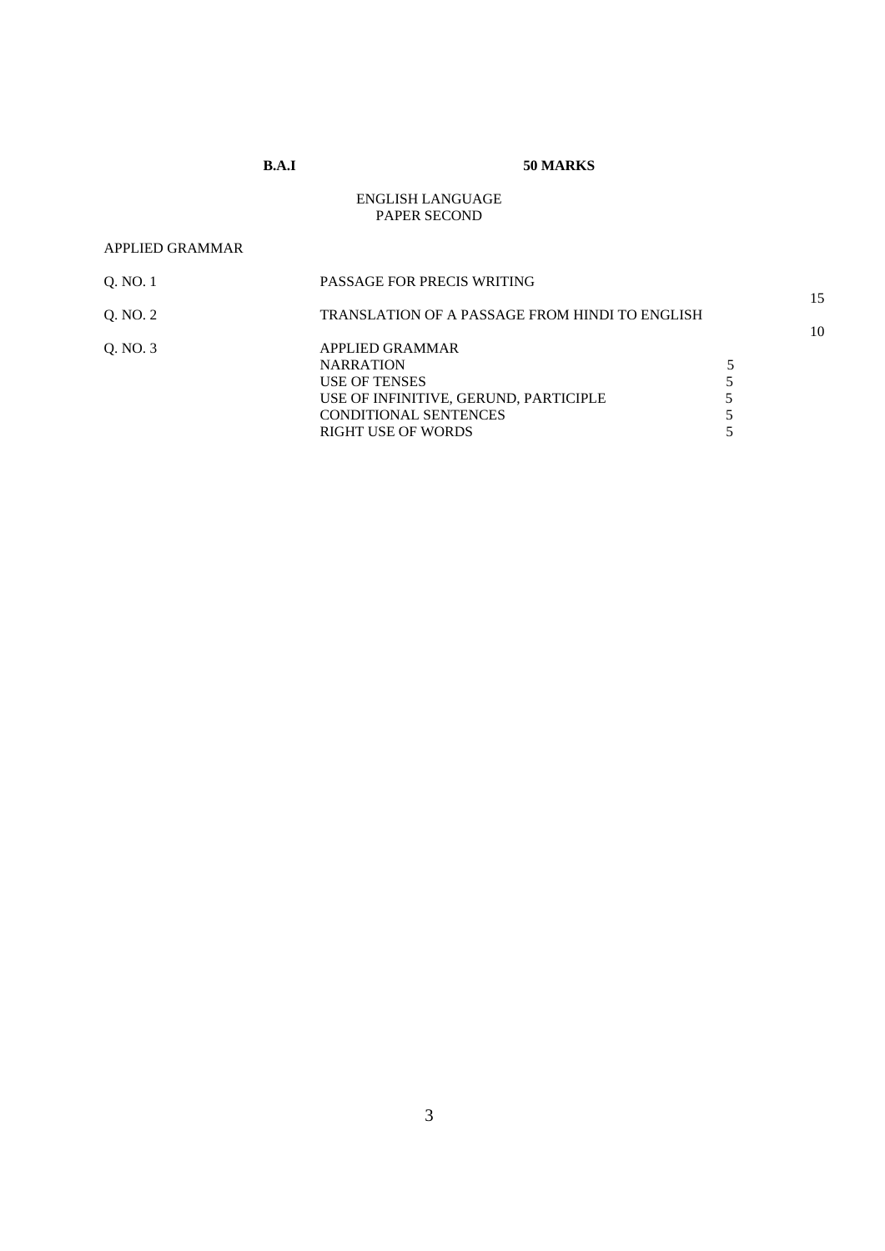## **B.A.I 50 MARKS**

### ENGLISH LANGUAGE PAPER SECOND

#### APPLIED GRAMMAR

| 0. NO. 1 | PASSAGE FOR PRECIS WRITING                            |    |
|----------|-------------------------------------------------------|----|
| Q. NO. 2 | <b>TRANSLATION OF A PASSAGE FROM HINDI TO ENGLISH</b> | 15 |
|          |                                                       | 10 |
| O. NO. 3 | APPLIED GRAMMAR                                       |    |
|          | <b>NARRATION</b>                                      |    |
|          | USE OF TENSES                                         |    |
|          | USE OF INFINITIVE, GERUND, PARTICIPLE                 |    |
|          | <b>CONDITIONAL SENTENCES</b>                          |    |
|          | RIGHT USE OF WORDS                                    |    |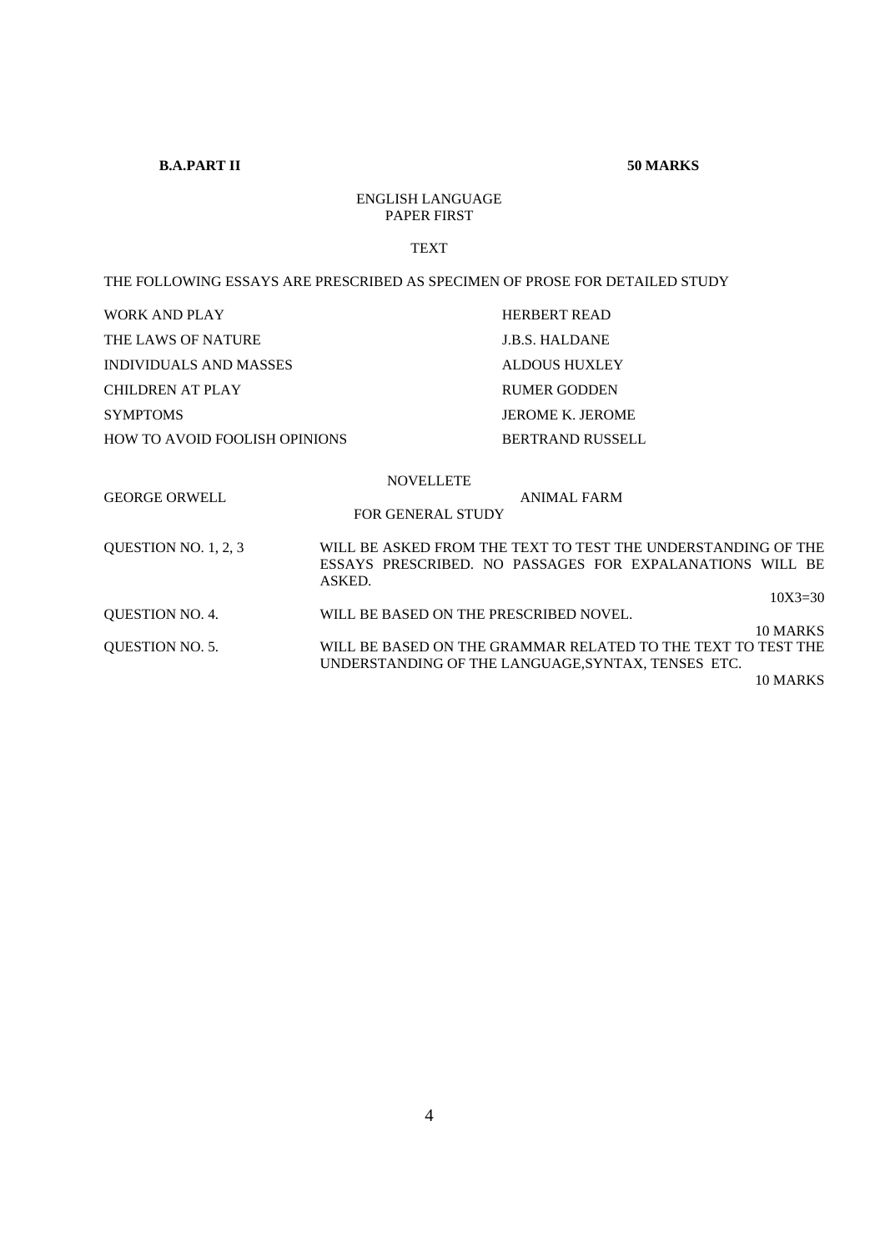## **B.A.PART II** 50 MARKS

## ENGLISH LANGUAGE PAPER FIRST

#### TEXT

#### THE FOLLOWING ESSAYS ARE PRESCRIBED AS SPECIMEN OF PROSE FOR DETAILED STUDY

| WORK AND PLAY                                |                                              | <b>HERBERT READ</b>                                                                                                                            |
|----------------------------------------------|----------------------------------------------|------------------------------------------------------------------------------------------------------------------------------------------------|
| THE LAWS OF NATURE                           |                                              | <b>J.B.S. HALDANE</b>                                                                                                                          |
| INDIVIDUALS AND MASSES                       |                                              | ALDOUS HUXLEY                                                                                                                                  |
| <b>CHILDREN AT PLAY</b>                      |                                              | <b>RUMER GODDEN</b>                                                                                                                            |
| <b>SYMPTOMS</b>                              |                                              | <b>JEROME K. JEROME</b>                                                                                                                        |
| <b>HOW TO AVOID FOOLISH OPINIONS</b>         |                                              | <b>BERTRAND RUSSELL</b>                                                                                                                        |
| <b>GEORGE ORWELL</b><br>QUESTION NO. 1, 2, 3 | <b>NOVELLETE</b><br><b>FOR GENERAL STUDY</b> | <b>ANIMAL FARM</b><br>WILL BE ASKED FROM THE TEXT TO TEST THE UNDERSTANDING OF THE<br>ESSAYS PRESCRIBED. NO PASSAGES FOR EXPALANATIONS WILL BE |
|                                              | ASKED.                                       | $10X3 = 30$                                                                                                                                    |
| <b>OUESTION NO. 4.</b>                       | WILL BE BASED ON THE PRESCRIBED NOVEL.       |                                                                                                                                                |
| <b>OUESTION NO. 5.</b>                       |                                              | 10 MARKS<br>WILL BE BASED ON THE GRAMMAR RELATED TO THE TEXT TO TEST THE<br>UNDERSTANDING OF THE LANGUAGE, SYNTAX, TENSES ETC.                 |

10 MARKS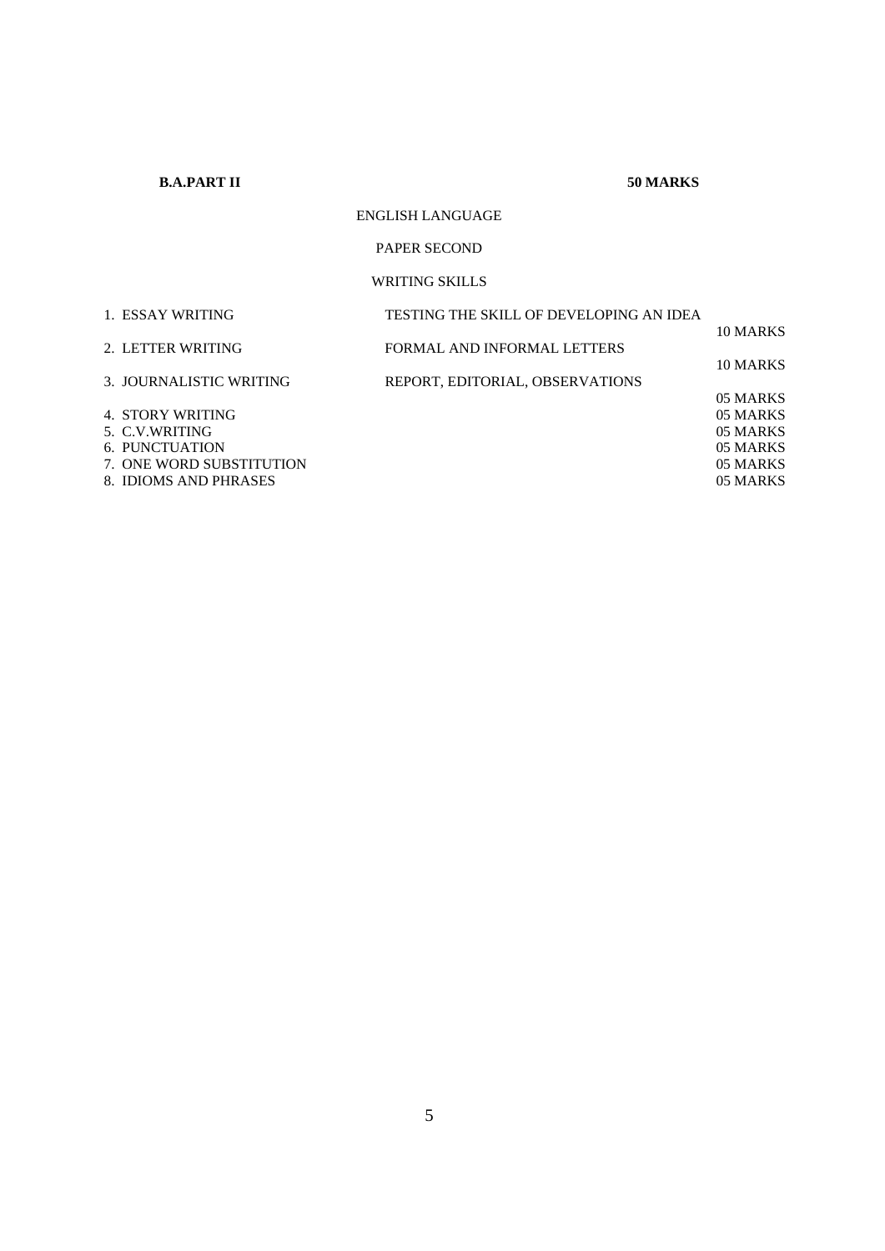**B.A.PART II** 50 MARKS

## ENGLISH LANGUAGE

### PAPER SECOND

## WRITING SKILLS

| 1. ESSAY WRITING         | TESTING THE SKILL OF DEVELOPING AN IDEA |          |
|--------------------------|-----------------------------------------|----------|
|                          |                                         | 10 MARKS |
| 2. LETTER WRITING        | FORMAL AND INFORMAL LETTERS             |          |
|                          |                                         | 10 MARKS |
| 3. JOURNALISTIC WRITING  | REPORT, EDITORIAL, OBSERVATIONS         |          |
|                          |                                         | 05 MARKS |
| 4. STORY WRITING         |                                         | 05 MARKS |
| 5. C.V.WRITING           |                                         | 05 MARKS |
| 6. PUNCTUATION           |                                         | 05 MARKS |
| 7. ONE WORD SUBSTITUTION |                                         | 05 MARKS |
| 8. IDIOMS AND PHRASES    |                                         | 05 MARKS |
|                          |                                         |          |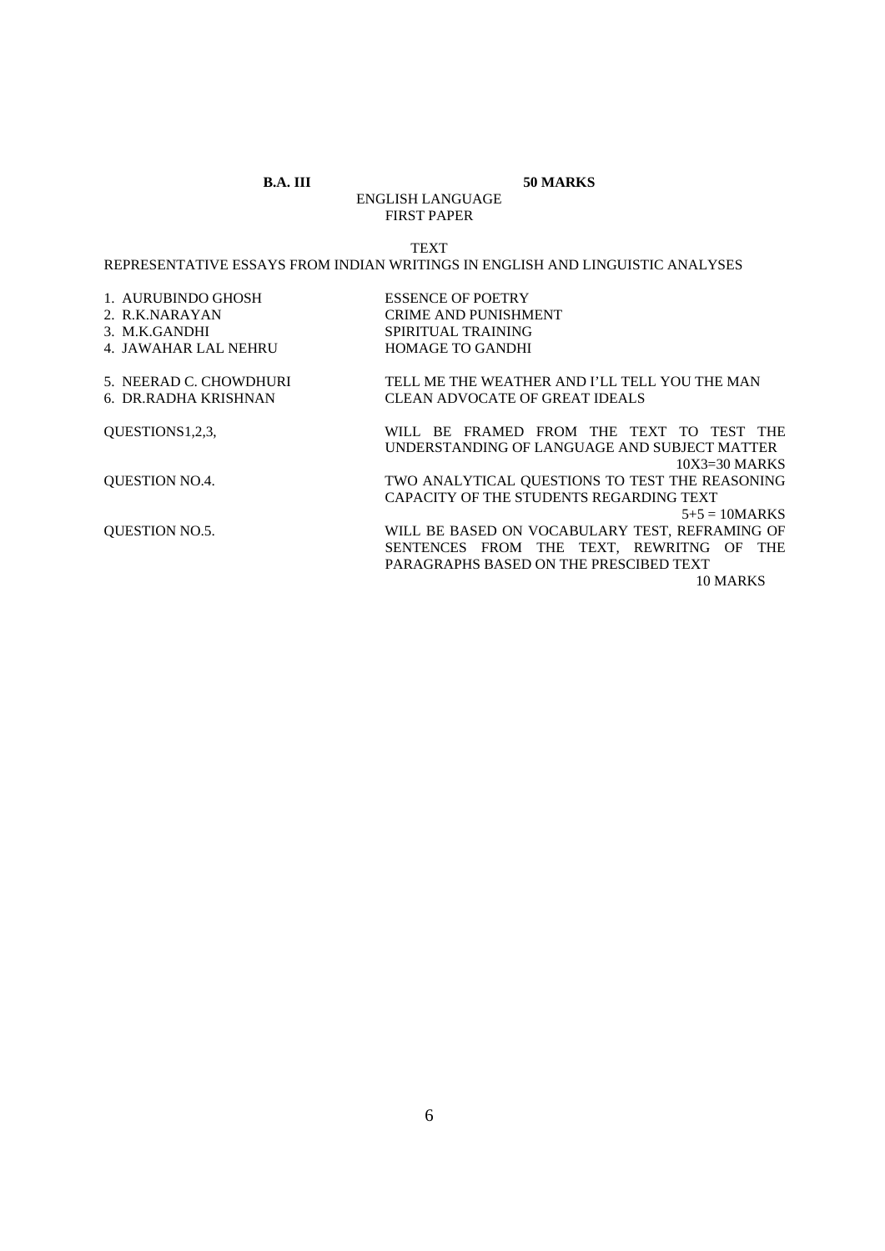#### **B.A. III 50 MARKS**

ENGLISH LANGUAGE FIRST PAPER

#### TEXT

## REPRESENTATIVE ESSAYS FROM INDIAN WRITINGS IN ENGLISH AND LINGUISTIC ANALYSES

| 1. AURUBINDO GHOSH<br>2. R.K.NARAYAN<br>3. M.K.GANDHI<br>4. JAWAHAR LAL NEHRU | <b>ESSENCE OF POETRY</b><br><b>CRIME AND PUNISHMENT</b><br>SPIRITUAL TRAINING<br><b>HOMAGE TO GANDHI</b>    |
|-------------------------------------------------------------------------------|-------------------------------------------------------------------------------------------------------------|
| 5. NEERAD C. CHOWDHURI                                                        | TELL ME THE WEATHER AND I'LL TELL YOU THE MAN                                                               |
| 6. DR.RADHA KRISHNAN                                                          | CLEAN ADVOCATE OF GREAT IDEALS                                                                              |
| OUESTIONS1,2,3,                                                               | WILL BE FRAMED FROM THE TEXT TO TEST THE<br>UNDERSTANDING OF LANGUAGE AND SUBJECT MATTER<br>$10X3=30$ MARKS |
| <b>QUESTION NO.4.</b>                                                         | TWO ANALYTICAL QUESTIONS TO TEST THE REASONING<br>CAPACITY OF THE STUDENTS REGARDING TEXT                   |
|                                                                               | $5+5 = 10$ MARKS                                                                                            |
| <b>OUESTION NO.5.</b>                                                         | WILL BE BASED ON VOCABULARY TEST, REFRAMING OF                                                              |
|                                                                               | SENTENCES FROM THE TEXT, REWRITNG OF THE                                                                    |
|                                                                               | PARAGRAPHS BASED ON THE PRESCIBED TEXT                                                                      |
|                                                                               | 10 MARKS                                                                                                    |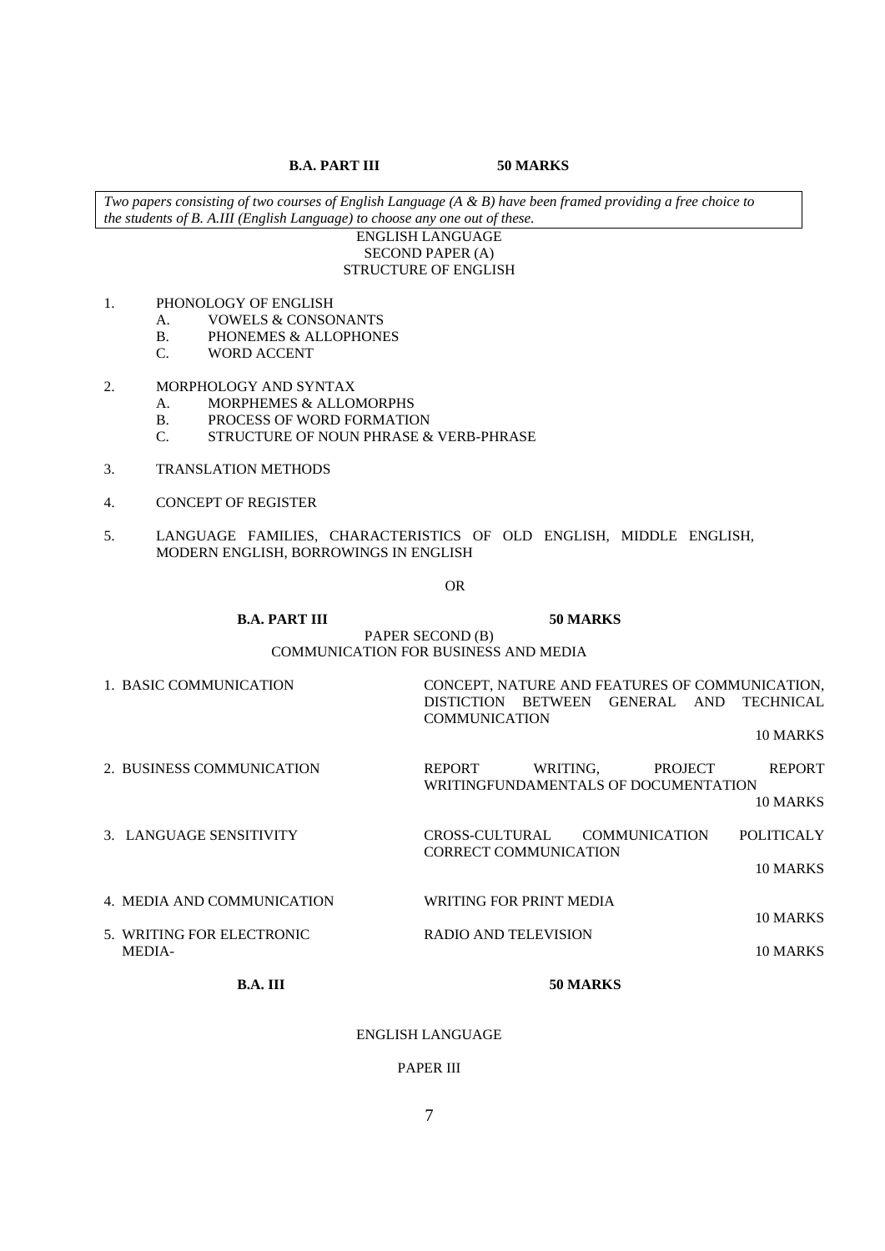**B.A. PART III 50 MARKS** 

*Two papers consisting of two courses of English Language (A & B) have been framed providing a free choice to the students of B. A.III (English Language) to choose any one out of these.* 

#### ENGLISH LANGUAGE SECOND PAPER (A) STRUCTURE OF ENGLISH

- 1. PHONOLOGY OF ENGLISH
	- A. VOWELS & CONSONANTS
	- B. PHONEMES & ALLOPHONES
	- C. WORD ACCENT

## 2. MORPHOLOGY AND SYNTAX

- A. MORPHEMES & ALLOMORPHS
- B. PROCESS OF WORD FORMATION
- C. STRUCTURE OF NOUN PHRASE & VERB-PHRASE
- 3. TRANSLATION METHODS
- 4. CONCEPT OF REGISTER
- 5. LANGUAGE FAMILIES, CHARACTERISTICS OF OLD ENGLISH, MIDDLE ENGLISH, MODERN ENGLISH, BORROWINGS IN ENGLISH

OR

#### **B.A. PART III 50 MARKS** PAPER SECOND (B) COMMUNICATION FOR BUSINESS AND MEDIA

| 1. BASIC COMMUNICATION     | CONCEPT, NATURE AND FEATURES OF COMMUNICATION,<br>DISTICTION BETWEEN GENERAL AND<br><b>TECHNICAL</b><br><b>COMMUNICATION</b> |
|----------------------------|------------------------------------------------------------------------------------------------------------------------------|
|                            | 10 MARKS                                                                                                                     |
| 2. BUSINESS COMMUNICATION  | <b>REPORT</b><br>WRITING.<br><b>REPORT</b><br><b>PROJECT</b><br>WRITINGFUNDAMENTALS OF DOCUMENTATION                         |
|                            | 10 MARKS                                                                                                                     |
| 3. LANGUAGE SENSITIVITY    | <b>POLITICALY</b><br><b>COMMUNICATION</b><br>CROSS-CULTURAL<br>CORRECT COMMUNICATION                                         |
|                            | 10 MARKS                                                                                                                     |
| 4. MEDIA AND COMMUNICATION | WRITING FOR PRINT MEDIA<br>10 MARKS                                                                                          |
| 5. WRITING FOR ELECTRONIC  | RADIO AND TELEVISION                                                                                                         |
| <b>MEDIA-</b>              | 10 MARKS                                                                                                                     |

### **B.A. III** 50 MARKS

#### ENGLISH LANGUAGE

#### PAPER III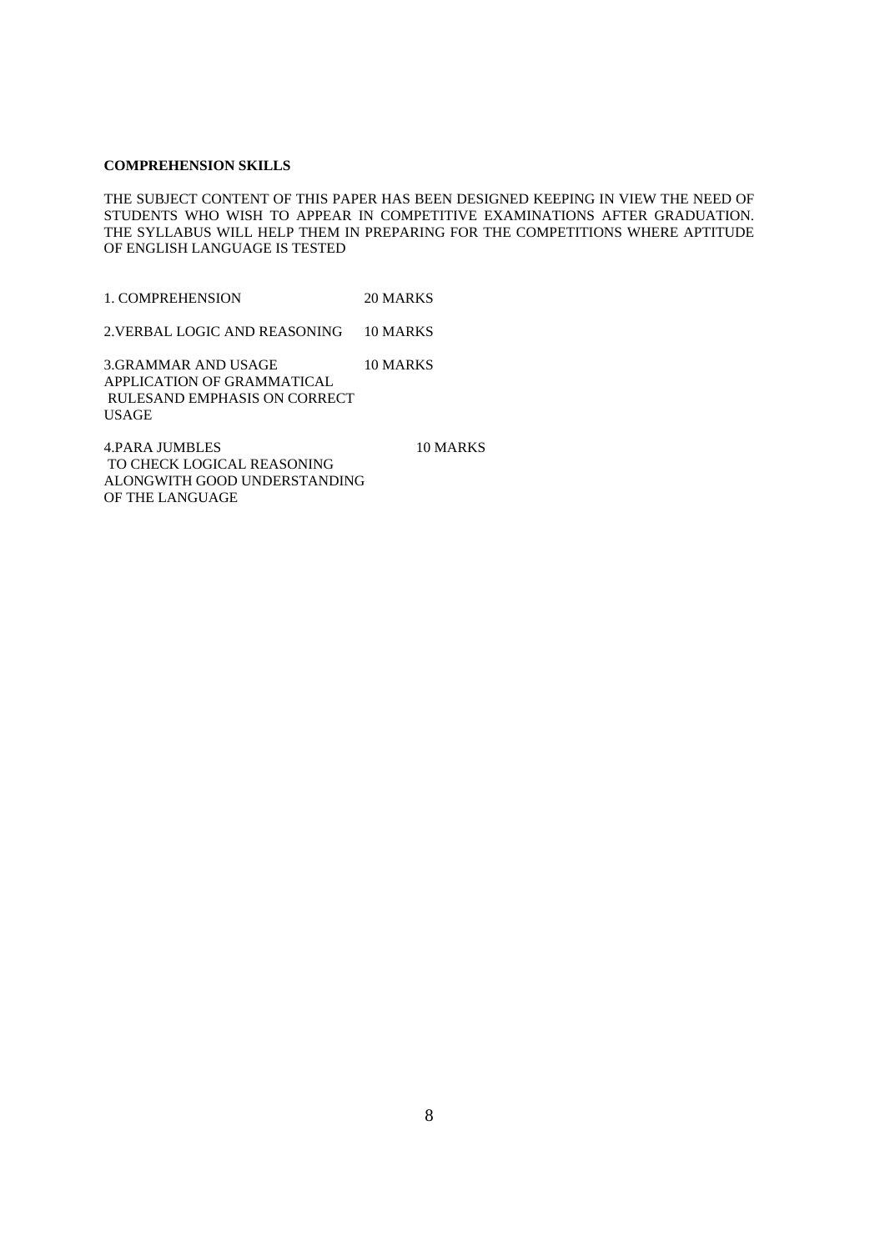#### **COMPREHENSION SKILLS**

THE SUBJECT CONTENT OF THIS PAPER HAS BEEN DESIGNED KEEPING IN VIEW THE NEED OF STUDENTS WHO WISH TO APPEAR IN COMPETITIVE EXAMINATIONS AFTER GRADUATION. THE SYLLABUS WILL HELP THEM IN PREPARING FOR THE COMPETITIONS WHERE APTITUDE OF ENGLISH LANGUAGE IS TESTED

1. COMPREHENSION 20 MARKS

2.VERBAL LOGIC AND REASONING 10 MARKS

3.GRAMMAR AND USAGE 10 MARKS APPLICATION OF GRAMMATICAL RULESAND EMPHASIS ON CORRECT USAGE

4.PARA JUMBLES 10 MARKS TO CHECK LOGICAL REASONING ALONGWITH GOOD UNDERSTANDING OF THE LANGUAGE